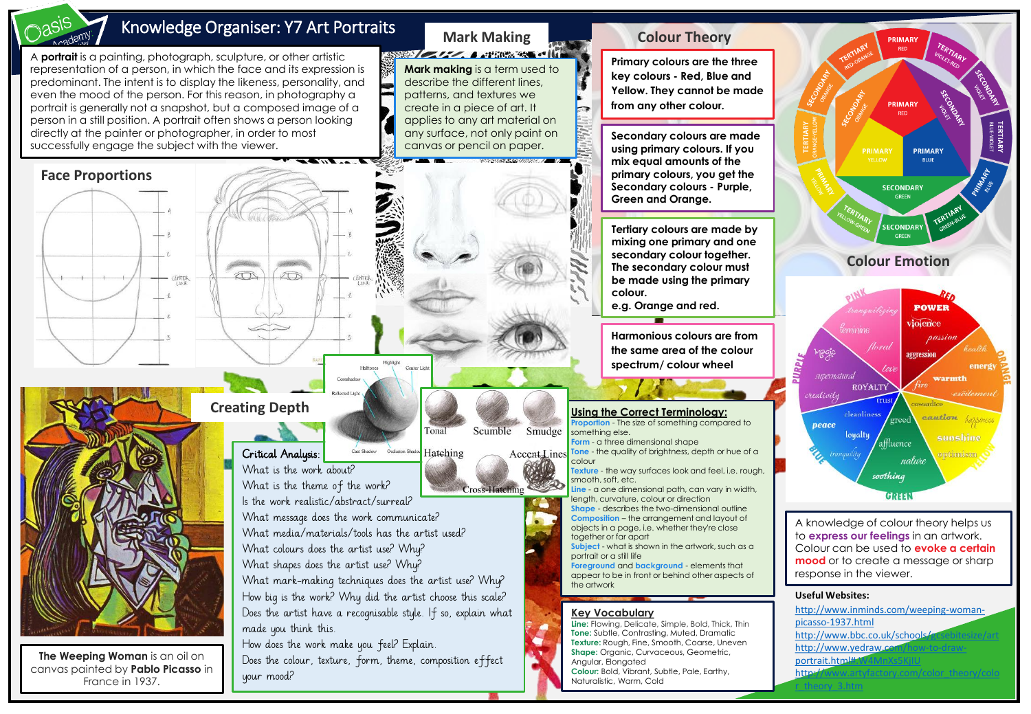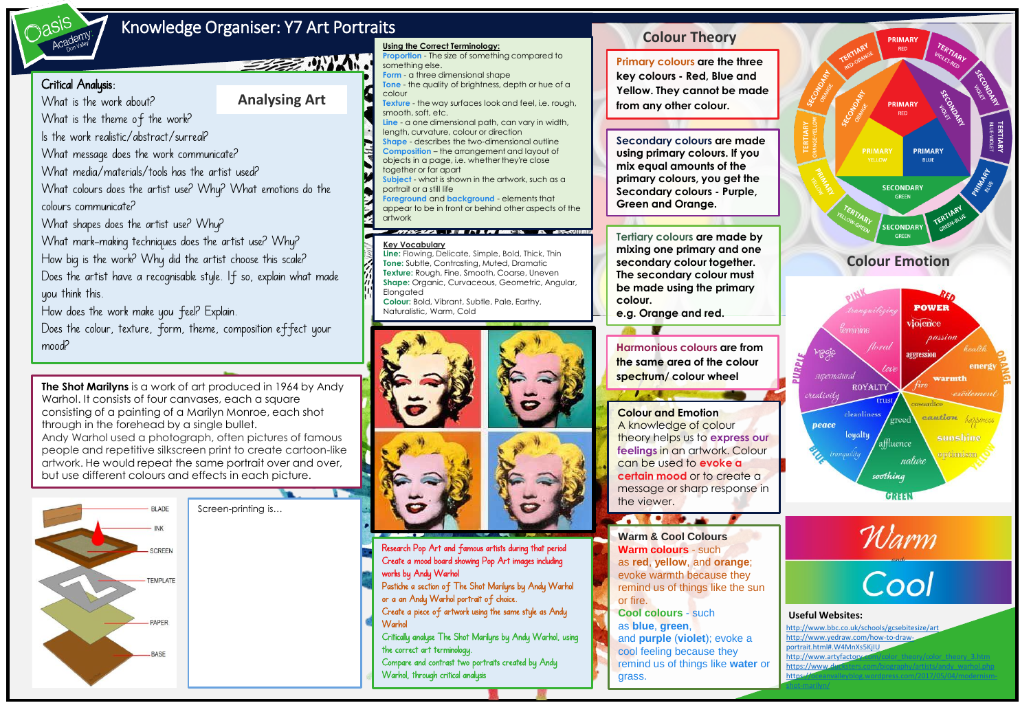

## Knowledge Organiser: Y7 Art Portraits

**Analysing Art**

**SERVER DIVINARI** 

## Critical Analysis:

What is the work about?

What is the theme of the work? Is the work realistic/abstract/surreal? What message does the work communicate? What media/materials/tools has the artist used? What colours does the artist use? Why? What emotions do the colours communicate? What shapes does the artist use? Why? What mark-making techniques does the artist use? Why? How big is the work? Why did the artist choose this scale? Does the artist have a recognisable style. If so, explain what made you think this.

How does the work make you feel? Explain.

Does the colour, texture, form, theme, composition effect your mood? **Harmonious colours are from** 

**The Shot Marilyns** is a work of art produced in 1964 by Andy Warhol. It consists of four canvases, each a square consisting of a painting of a Marilyn Monroe, each shot through in the forehead by a single bullet. Andy Warhol used a photograph, often pictures of famous people and repetitive silkscreen print to create cartoon-like artwork. He would repeat the same portrait over and over, but use different colours and effects in each picture.



Screen-printing is…



**Proportion** - The size of something compared to

**Using the Correct Terminology:**

something else.





Research Pop Art and famous artists during that period Create a mood board showing Pop Art images including works by Andy Warhol Pastiche a section of The Shot Marilyns by Andy Warhol

or a an Andy Warhol portrait of choice.

Create a piece of artwork using the same style as Andy **Warhol** 

Critically analyse The Shot Marilyns by Andy Warhol, using the correct art terminology. Compare and contrast two portraits created by Andy

Warhol, through critical analysis